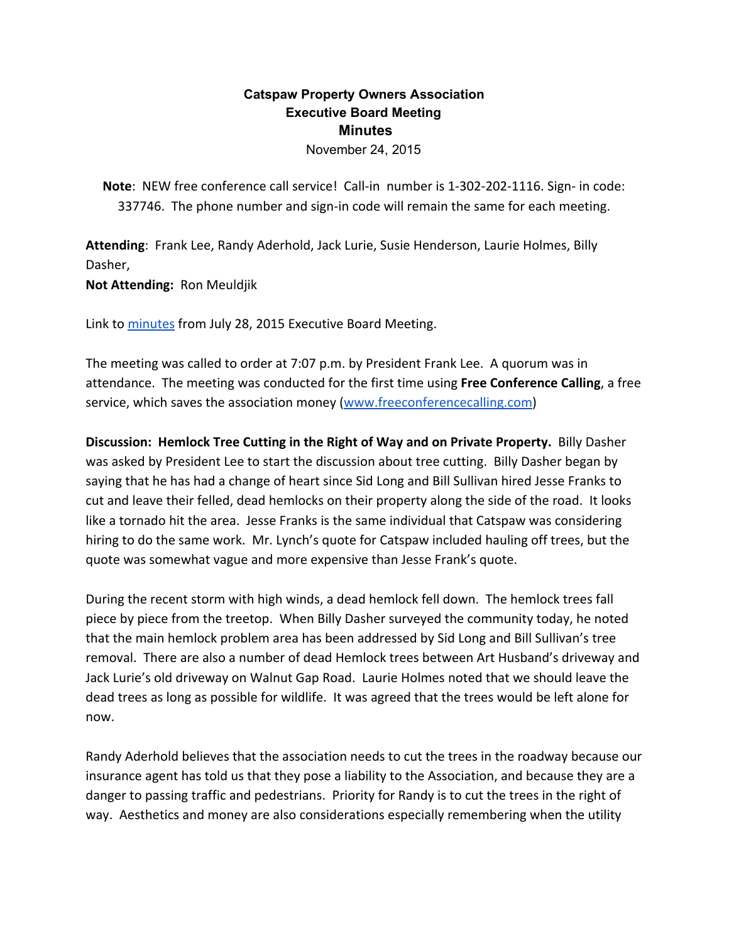# **Catspaw Property Owners Association Executive Board Meeting Minutes**

November 24, 2015

**Note**: NEW free conference call service! Call‐in number is 1‐302‐202‐1116. Sign‐ in code: 337746. The phone number and sign‐in code will remain the same for each meeting.

**Attending**: Frank Lee, Randy Aderhold, Jack Lurie, Susie Henderson, Laurie Holmes, Billy Dasher,

**Not Attending:** Ron Meuldjik

Link to [minutes](https://docs.google.com/document/d/1BuydLoiZYqoYXgMW7tuGjQDLFEoQUxmftGFIbU50T1w/edit) from July 28, 2015 Executive Board Meeting.

The meeting was called to order at 7:07 p.m. by President Frank Lee. A quorum was in attendance. The meeting was conducted for the first time using **Free Conference Calling**, a free service, which saves the association money ([www.freeconferencecalling.com\)](http://www.freeconferencecalling.com/)

**Discussion: Hemlock Tree Cutting in the Right of Way and on Private Property.** Billy Dasher was asked by President Lee to start the discussion about tree cutting. Billy Dasher began by saying that he has had a change of heart since Sid Long and Bill Sullivan hired Jesse Franks to cut and leave their felled, dead hemlocks on their property along the side of the road. It looks like a tornado hit the area. Jesse Franks is the same individual that Catspaw was considering hiring to do the same work. Mr. Lynch's quote for Catspaw included hauling off trees, but the quote was somewhat vague and more expensive than Jesse Frank's quote.

During the recent storm with high winds, a dead hemlock fell down. The hemlock trees fall piece by piece from the treetop. When Billy Dasher surveyed the community today, he noted that the main hemlock problem area has been addressed by Sid Long and Bill Sullivan's tree removal. There are also a number of dead Hemlock trees between Art Husband's driveway and Jack Lurie's old driveway on Walnut Gap Road. Laurie Holmes noted that we should leave the dead trees as long as possible for wildlife. It was agreed that the trees would be left alone for now.

Randy Aderhold believes that the association needs to cut the trees in the roadway because our insurance agent has told us that they pose a liability to the Association, and because they are a danger to passing traffic and pedestrians. Priority for Randy is to cut the trees in the right of way. Aesthetics and money are also considerations especially remembering when the utility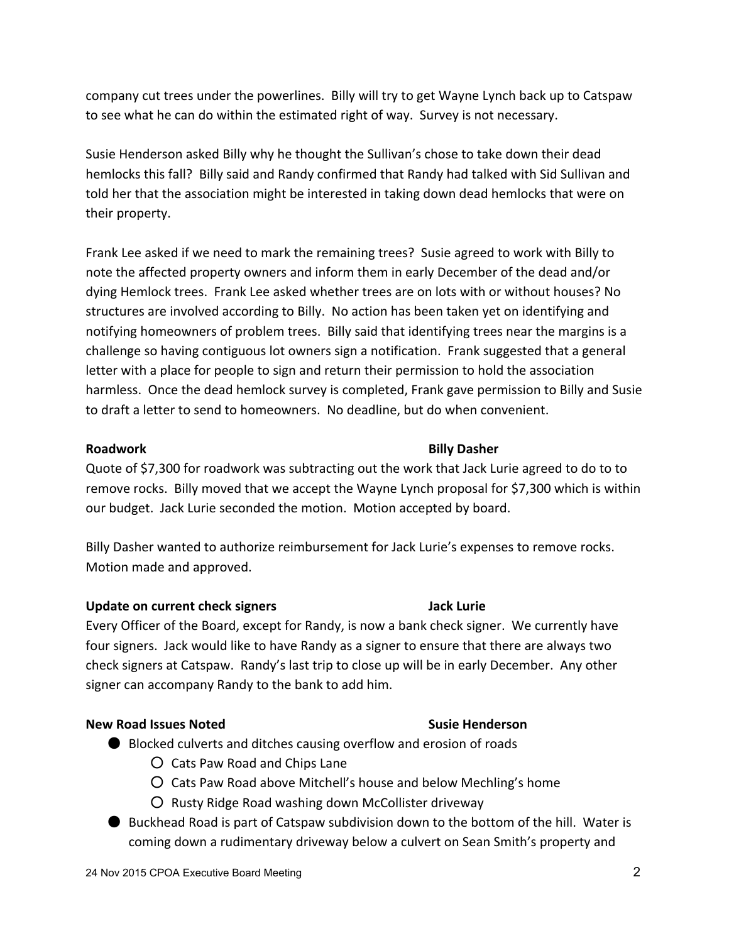company cut trees under the powerlines. Billy will try to get Wayne Lynch back up to Catspaw to see what he can do within the estimated right of way. Survey is not necessary.

Susie Henderson asked Billy why he thought the Sullivan's chose to take down their dead hemlocks this fall? Billy said and Randy confirmed that Randy had talked with Sid Sullivan and told her that the association might be interested in taking down dead hemlocks that were on their property.

Frank Lee asked if we need to mark the remaining trees? Susie agreed to work with Billy to note the affected property owners and inform them in early December of the dead and/or dying Hemlock trees. Frank Lee asked whether trees are on lots with or without houses? No structures are involved according to Billy. No action has been taken yet on identifying and notifying homeowners of problem trees. Billy said that identifying trees near the margins is a challenge so having contiguous lot owners sign a notification. Frank suggested that a general letter with a place for people to sign and return their permission to hold the association harmless. Once the dead hemlock survey is completed, Frank gave permission to Billy and Susie to draft a letter to send to homeowners. No deadline, but do when convenient.

Quote of \$7,300 for roadwork was subtracting out the work that Jack Lurie agreed to do to to remove rocks. Billy moved that we accept the Wayne Lynch proposal for \$7,300 which is within our budget. Jack Lurie seconded the motion. Motion accepted by board.

Billy Dasher wanted to authorize reimbursement for Jack Lurie's expenses to remove rocks. Motion made and approved.

## **Update on current check signers Jack Lurie**

Every Officer of the Board, except for Randy, is now a bank check signer. We currently have four signers. Jack would like to have Randy as a signer to ensure that there are always two check signers at Catspaw. Randy's last trip to close up will be in early December. Any other signer can accompany Randy to the bank to add him.

## **New Road Issues Noted Susie Henderson**

- Blocked culverts and ditches causing overflow and erosion of roads
	- Cats Paw Road and Chips Lane
	- Cats Paw Road above Mitchell's house and below Mechling's home
	- Rusty Ridge Road washing down McCollister driveway
- Buckhead Road is part of Catspaw subdivision down to the bottom of the hill. Water is coming down a rudimentary driveway below a culvert on Sean Smith's property and

## **Roadwork Billy Dasher**